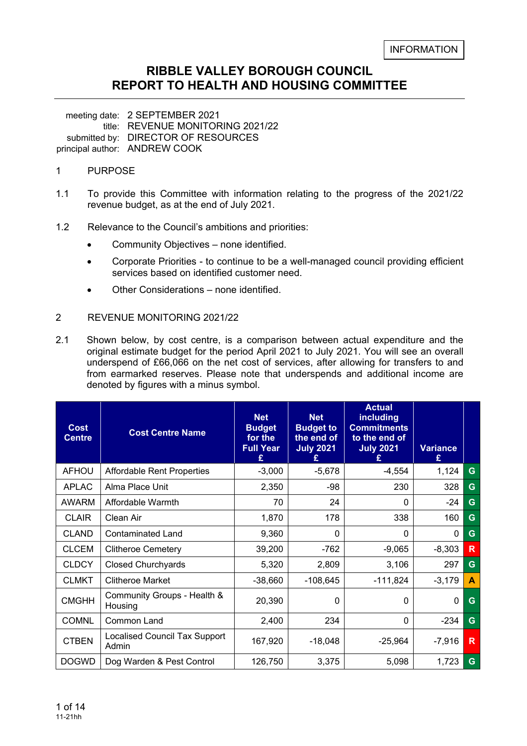#### **RIBBLE VALLEY BOROUGH COUNCIL REPORT TO HEALTH AND HOUSING COMMITTEE**

meeting date: 2 SEPTEMBER 2021 title: REVENUE MONITORING 2021/22 submitted by: DIRECTOR OF RESOURCES principal author: ANDREW COOK

#### 1 PURPOSE

- 1.1 To provide this Committee with information relating to the progress of the 2021/22 revenue budget, as at the end of July 2021.
- 1.2 Relevance to the Council's ambitions and priorities:
	- Community Objectives none identified.
	- Corporate Priorities to continue to be a well-managed council providing efficient services based on identified customer need.
	- Other Considerations none identified.

#### 2 REVENUE MONITORING 2021/22

2.1 Shown below, by cost centre, is a comparison between actual expenditure and the original estimate budget for the period April 2021 to July 2021. You will see an overall underspend of £66,066 on the net cost of services, after allowing for transfers to and from earmarked reserves. Please note that underspends and additional income are denoted by figures with a minus symbol.

| <b>Cost</b><br><b>Centre</b> | <b>Cost Centre Name</b>                       | <b>Net</b><br><b>Budget</b><br>for the<br><b>Full Year</b><br>£ | <b>Net</b><br><b>Budget to</b><br>the end of<br><b>July 2021</b> | <b>Actual</b><br>including<br><b>Commitments</b><br>to the end of<br><b>July 2021</b> | <b>Variance</b><br>£ |   |
|------------------------------|-----------------------------------------------|-----------------------------------------------------------------|------------------------------------------------------------------|---------------------------------------------------------------------------------------|----------------------|---|
| <b>AFHOU</b>                 | <b>Affordable Rent Properties</b>             | $-3,000$                                                        | $-5,678$                                                         | $-4,554$                                                                              | 1,124                | G |
| <b>APLAC</b>                 | Alma Place Unit                               | 2,350                                                           | -98                                                              | 230                                                                                   | 328                  | G |
| <b>AWARM</b>                 | Affordable Warmth                             | 70                                                              | 24                                                               | $\mathbf{0}$                                                                          | $-24$                | G |
| <b>CLAIR</b>                 | Clean Air                                     | 1,870                                                           | 178                                                              | 338                                                                                   | 160                  | G |
| <b>CLAND</b>                 | Contaminated Land                             | 9,360                                                           | $\Omega$                                                         | $\Omega$                                                                              | $\mathbf{0}$         | G |
| <b>CLCEM</b>                 | <b>Clitheroe Cemetery</b>                     | 39,200                                                          | $-762$                                                           | $-9,065$                                                                              | $-8,303$             | R |
| <b>CLDCY</b>                 | <b>Closed Churchyards</b>                     | 5,320                                                           | 2,809                                                            | 3,106                                                                                 | 297                  | G |
| <b>CLMKT</b>                 | <b>Clitheroe Market</b>                       | $-38,660$                                                       | $-108,645$                                                       | $-111,824$                                                                            | $-3,179$             | A |
| <b>CMGHH</b>                 | Community Groups - Health &<br>Housing        | 20,390                                                          | 0                                                                | $\Omega$                                                                              | 0                    | G |
| <b>COMNL</b>                 | Common Land                                   | 2,400                                                           | 234                                                              | $\Omega$                                                                              | $-234$               | G |
| <b>CTBEN</b>                 | <b>Localised Council Tax Support</b><br>Admin | 167,920                                                         | $-18,048$                                                        | -25,964                                                                               | $-7,916$             | R |
| <b>DOGWD</b>                 | Dog Warden & Pest Control                     | 126,750                                                         | 3,375                                                            | 5,098                                                                                 | 1,723                | G |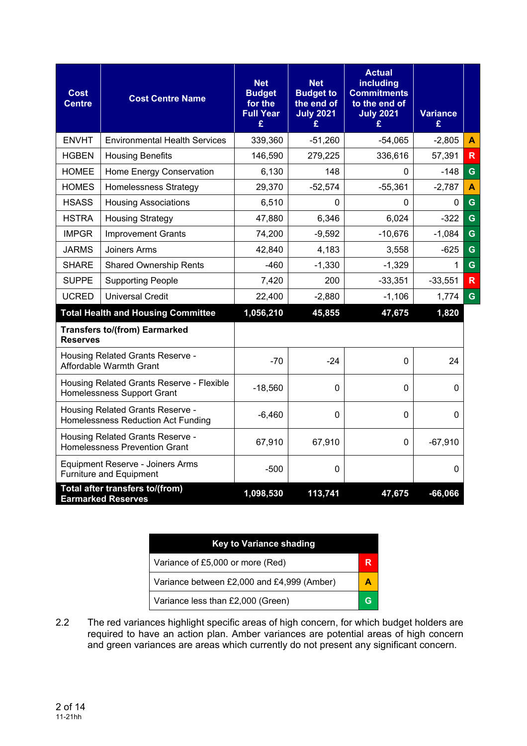| Cost<br><b>Centre</b> | <b>Cost Centre Name</b>                                                        | <b>Net</b><br><b>Budget</b><br>for the<br><b>Full Year</b><br>£ | <b>Net</b><br><b>Budget to</b><br>the end of<br><b>July 2021</b><br>£ | <b>Actual</b><br>including<br><b>Commitments</b><br>to the end of<br><b>July 2021</b><br>£ | <b>Variance</b><br>£ |              |
|-----------------------|--------------------------------------------------------------------------------|-----------------------------------------------------------------|-----------------------------------------------------------------------|--------------------------------------------------------------------------------------------|----------------------|--------------|
| <b>ENVHT</b>          | <b>Environmental Health Services</b>                                           | 339,360                                                         | $-51,260$                                                             | $-54,065$                                                                                  | $-2,805$             | A            |
| <b>HGBEN</b>          | <b>Housing Benefits</b>                                                        | 146,590                                                         | 279,225                                                               | 336,616                                                                                    | 57,391               | $\mathsf{R}$ |
| <b>HOMEE</b>          | Home Energy Conservation                                                       | 6,130                                                           | 148                                                                   | $\mathbf{0}$                                                                               | $-148$               | G            |
| <b>HOMES</b>          | <b>Homelessness Strategy</b>                                                   | 29,370                                                          | $-52,574$                                                             | $-55,361$                                                                                  | $-2,787$             | A            |
| <b>HSASS</b>          | <b>Housing Associations</b>                                                    | 6,510                                                           | 0                                                                     | $\Omega$                                                                                   | 0                    | G            |
| <b>HSTRA</b>          | <b>Housing Strategy</b>                                                        | 47,880                                                          | 6,346                                                                 | 6,024                                                                                      | $-322$               | G            |
| <b>IMPGR</b>          | <b>Improvement Grants</b>                                                      | 74,200                                                          | $-9,592$                                                              | $-10,676$                                                                                  | $-1,084$             | G            |
| <b>JARMS</b>          | Joiners Arms                                                                   | 42,840                                                          | 4,183                                                                 | 3,558                                                                                      | $-625$               | $\mathbf G$  |
| <b>SHARE</b>          | <b>Shared Ownership Rents</b>                                                  | $-460$                                                          | $-1,330$                                                              | $-1,329$                                                                                   | 1                    | G            |
| <b>SUPPE</b>          | <b>Supporting People</b>                                                       | 7,420                                                           | 200                                                                   | $-33,351$                                                                                  | $-33,551$            | $\mathsf{R}$ |
| <b>UCRED</b>          | <b>Universal Credit</b>                                                        | 22,400                                                          | $-2,880$                                                              | $-1,106$                                                                                   | 1,774                | G            |
|                       | <b>Total Health and Housing Committee</b>                                      | 1,056,210                                                       | 45,855                                                                | 47,675                                                                                     | 1,820                |              |
| <b>Reserves</b>       | <b>Transfers to/(from) Earmarked</b>                                           |                                                                 |                                                                       |                                                                                            |                      |              |
|                       | Housing Related Grants Reserve -<br>Affordable Warmth Grant                    | $-70$                                                           | $-24$                                                                 | 0                                                                                          | 24                   |              |
|                       | Housing Related Grants Reserve - Flexible<br><b>Homelessness Support Grant</b> | $-18,560$                                                       | 0                                                                     | $\Omega$                                                                                   | 0                    |              |
|                       | Housing Related Grants Reserve -<br>Homelessness Reduction Act Funding         | $-6,460$                                                        | $\mathbf 0$                                                           | $\mathbf 0$                                                                                | $\mathbf 0$          |              |
|                       | Housing Related Grants Reserve -<br><b>Homelessness Prevention Grant</b>       | 67,910                                                          | 67,910                                                                | 0                                                                                          | $-67,910$            |              |
|                       | Equipment Reserve - Joiners Arms<br>Furniture and Equipment                    | $-500$                                                          | 0                                                                     |                                                                                            | 0                    |              |
|                       | Total after transfers to/(from)<br><b>Earmarked Reserves</b>                   | 1,098,530                                                       | 113,741                                                               | 47,675                                                                                     | $-66,066$            |              |

| <b>Key to Variance shading</b>             |  |
|--------------------------------------------|--|
| Variance of £5,000 or more (Red)           |  |
| Variance between £2,000 and £4,999 (Amber) |  |
| Variance less than £2,000 (Green)          |  |

2.2 The red variances highlight specific areas of high concern, for which budget holders are required to have an action plan. Amber variances are potential areas of high concern and green variances are areas which currently do not present any significant concern.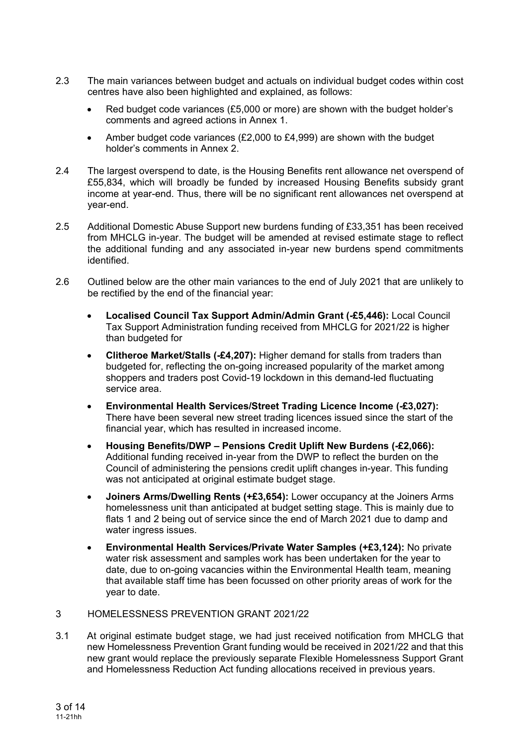- 2.3 The main variances between budget and actuals on individual budget codes within cost centres have also been highlighted and explained, as follows:
	- Red budget code variances (£5,000 or more) are shown with the budget holder's comments and agreed actions in Annex 1.
	- Amber budget code variances (£2,000 to £4,999) are shown with the budget holder's comments in Annex 2.
- 2.4 The largest overspend to date, is the Housing Benefits rent allowance net overspend of £55,834, which will broadly be funded by increased Housing Benefits subsidy grant income at year-end. Thus, there will be no significant rent allowances net overspend at year-end.
- 2.5 Additional Domestic Abuse Support new burdens funding of £33,351 has been received from MHCLG in-year. The budget will be amended at revised estimate stage to reflect the additional funding and any associated in-year new burdens spend commitments identified.
- 2.6 Outlined below are the other main variances to the end of July 2021 that are unlikely to be rectified by the end of the financial year:
	- **Localised Council Tax Support Admin/Admin Grant (-£5,446):** Local Council Tax Support Administration funding received from MHCLG for 2021/22 is higher than budgeted for
	- **Clitheroe Market/Stalls (-£4,207):** Higher demand for stalls from traders than budgeted for, reflecting the on-going increased popularity of the market among shoppers and traders post Covid-19 lockdown in this demand-led fluctuating service area.
	- **Environmental Health Services/Street Trading Licence Income (-£3,027):**  There have been several new street trading licences issued since the start of the financial year, which has resulted in increased income.
	- **Housing Benefits/DWP Pensions Credit Uplift New Burdens (-£2,066):** Additional funding received in-year from the DWP to reflect the burden on the Council of administering the pensions credit uplift changes in-year. This funding was not anticipated at original estimate budget stage.
	- **Joiners Arms/Dwelling Rents (+£3,654):** Lower occupancy at the Joiners Arms homelessness unit than anticipated at budget setting stage. This is mainly due to flats 1 and 2 being out of service since the end of March 2021 due to damp and water ingress issues.
	- **Environmental Health Services/Private Water Samples (+£3,124):** No private water risk assessment and samples work has been undertaken for the year to date, due to on-going vacancies within the Environmental Health team, meaning that available staff time has been focussed on other priority areas of work for the year to date.
- 3 HOMELESSNESS PREVENTION GRANT 2021/22
- 3.1 At original estimate budget stage, we had just received notification from MHCLG that new Homelessness Prevention Grant funding would be received in 2021/22 and that this new grant would replace the previously separate Flexible Homelessness Support Grant and Homelessness Reduction Act funding allocations received in previous years.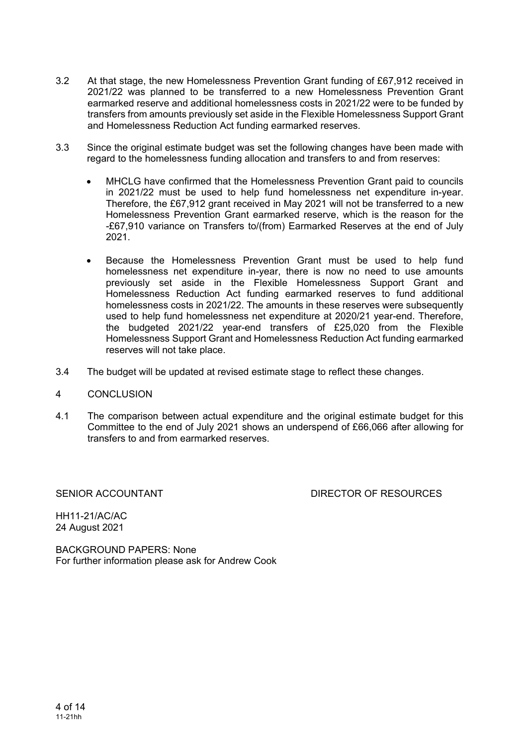- 3.2 At that stage, the new Homelessness Prevention Grant funding of £67,912 received in 2021/22 was planned to be transferred to a new Homelessness Prevention Grant earmarked reserve and additional homelessness costs in 2021/22 were to be funded by transfers from amounts previously set aside in the Flexible Homelessness Support Grant and Homelessness Reduction Act funding earmarked reserves.
- 3.3 Since the original estimate budget was set the following changes have been made with regard to the homelessness funding allocation and transfers to and from reserves:
	- MHCLG have confirmed that the Homelessness Prevention Grant paid to councils in 2021/22 must be used to help fund homelessness net expenditure in-year. Therefore, the £67,912 grant received in May 2021 will not be transferred to a new Homelessness Prevention Grant earmarked reserve, which is the reason for the -£67,910 variance on Transfers to/(from) Earmarked Reserves at the end of July 2021.
	- Because the Homelessness Prevention Grant must be used to help fund homelessness net expenditure in-year, there is now no need to use amounts previously set aside in the Flexible Homelessness Support Grant and Homelessness Reduction Act funding earmarked reserves to fund additional homelessness costs in 2021/22. The amounts in these reserves were subsequently used to help fund homelessness net expenditure at 2020/21 year-end. Therefore, the budgeted 2021/22 year-end transfers of £25,020 from the Flexible Homelessness Support Grant and Homelessness Reduction Act funding earmarked reserves will not take place.
- 3.4 The budget will be updated at revised estimate stage to reflect these changes.
- 4 CONCLUSION
- 4.1 The comparison between actual expenditure and the original estimate budget for this Committee to the end of July 2021 shows an underspend of £66,066 after allowing for transfers to and from earmarked reserves.

SENIOR ACCOUNTANT **EXECUTE:** DIRECTOR OF RESOURCES

HH11-21/AC/AC 24 August 2021

BACKGROUND PAPERS: None For further information please ask for Andrew Cook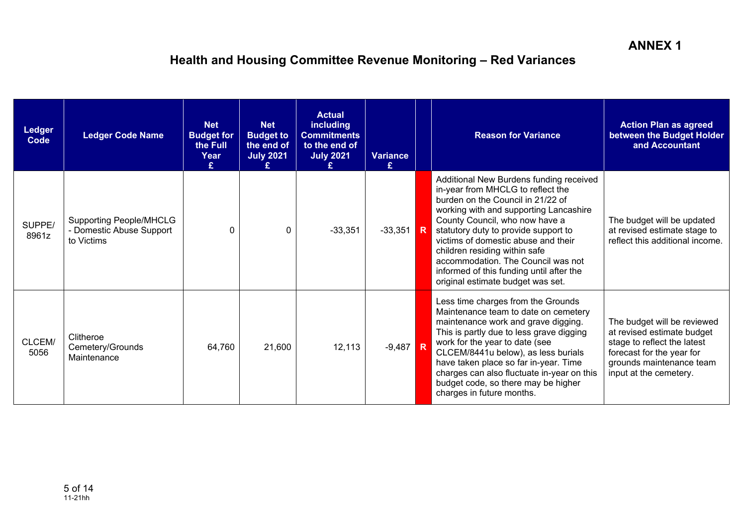| <b>Ledger</b><br><b>Code</b> | <b>Ledger Code Name</b>                                                  | <b>Net</b><br><b>Budget for</b><br>the Full<br>Year | <b>Net</b><br><b>Budget to</b><br>the end of<br><b>July 2021</b> | <b>Actual</b><br><b>including</b><br><b>Commitments</b><br>to the end of<br><b>July 2021</b> | <b>Variance</b><br>£ | <b>Reason for Variance</b>                                                                                                                                                                                                                                                                                                                                                                                                           | <b>Action Plan as agreed</b><br>between the Budget Holder<br>and Accountant                                                                                                 |
|------------------------------|--------------------------------------------------------------------------|-----------------------------------------------------|------------------------------------------------------------------|----------------------------------------------------------------------------------------------|----------------------|--------------------------------------------------------------------------------------------------------------------------------------------------------------------------------------------------------------------------------------------------------------------------------------------------------------------------------------------------------------------------------------------------------------------------------------|-----------------------------------------------------------------------------------------------------------------------------------------------------------------------------|
| SUPPE/<br>8961z              | <b>Supporting People/MHCLG</b><br>- Domestic Abuse Support<br>to Victims | $\Omega$                                            | $\Omega$                                                         | $-33,351$                                                                                    | $-33,351$ R          | Additional New Burdens funding received<br>in-year from MHCLG to reflect the<br>burden on the Council in 21/22 of<br>working with and supporting Lancashire<br>County Council, who now have a<br>statutory duty to provide support to<br>victims of domestic abuse and their<br>children residing within safe<br>accommodation. The Council was not<br>informed of this funding until after the<br>original estimate budget was set. | The budget will be updated<br>at revised estimate stage to<br>reflect this additional income.                                                                               |
| CLCEM/<br>5056               | Clitheroe<br>Cemetery/Grounds<br>Maintenance                             | 64,760                                              | 21,600                                                           | 12,113                                                                                       | $-9,487$ R           | Less time charges from the Grounds<br>Maintenance team to date on cemetery<br>maintenance work and grave digging.<br>This is partly due to less grave digging<br>work for the year to date (see<br>CLCEM/8441u below), as less burials<br>have taken place so far in-year. Time<br>charges can also fluctuate in-year on this<br>budget code, so there may be higher<br>charges in future months.                                    | The budget will be reviewed<br>at revised estimate budget<br>stage to reflect the latest<br>forecast for the year for<br>grounds maintenance team<br>input at the cemetery. |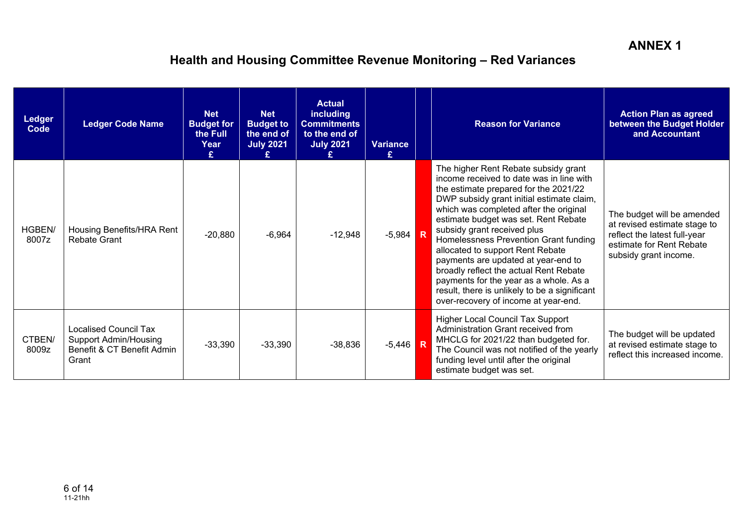| <b>Ledger</b><br>Code | <b>Ledger Code Name</b>                                                                             | <b>Net</b><br><b>Budget for</b><br>the Full<br>Year | <b>Net</b><br><b>Budget to</b><br>the end of<br><b>July 2021</b> | <b>Actual</b><br><b>including</b><br><b>Commitments</b><br>to the end of<br><b>July 2021</b> | <b>Variance</b><br>£ | <b>Reason for Variance</b>                                                                                                                                                                                                                                                                                                                                                                                                                                                                                                                                                               | <b>Action Plan as agreed</b><br>between the Budget Holder<br>and Accountant                                                                     |
|-----------------------|-----------------------------------------------------------------------------------------------------|-----------------------------------------------------|------------------------------------------------------------------|----------------------------------------------------------------------------------------------|----------------------|------------------------------------------------------------------------------------------------------------------------------------------------------------------------------------------------------------------------------------------------------------------------------------------------------------------------------------------------------------------------------------------------------------------------------------------------------------------------------------------------------------------------------------------------------------------------------------------|-------------------------------------------------------------------------------------------------------------------------------------------------|
| HGBEN/<br>8007z       | Housing Benefits/HRA Rent<br>Rebate Grant                                                           | $-20,880$                                           | $-6,964$                                                         | $-12,948$                                                                                    | $-5,984$ R           | The higher Rent Rebate subsidy grant<br>income received to date was in line with<br>the estimate prepared for the 2021/22<br>DWP subsidy grant initial estimate claim,<br>which was completed after the original<br>estimate budget was set. Rent Rebate<br>subsidy grant received plus<br>Homelessness Prevention Grant funding<br>allocated to support Rent Rebate<br>payments are updated at year-end to<br>broadly reflect the actual Rent Rebate<br>payments for the year as a whole. As a<br>result, there is unlikely to be a significant<br>over-recovery of income at year-end. | The budget will be amended<br>at revised estimate stage to<br>reflect the latest full-year<br>estimate for Rent Rebate<br>subsidy grant income. |
| CTBEN/<br>8009z       | <b>Localised Council Tax</b><br><b>Support Admin/Housing</b><br>Benefit & CT Benefit Admin<br>Grant | $-33,390$                                           | $-33,390$                                                        | $-38,836$                                                                                    | $-5,446$ R           | <b>Higher Local Council Tax Support</b><br>Administration Grant received from<br>MHCLG for 2021/22 than budgeted for.<br>The Council was not notified of the yearly<br>funding level until after the original<br>estimate budget was set.                                                                                                                                                                                                                                                                                                                                                | The budget will be updated<br>at revised estimate stage to<br>reflect this increased income.                                                    |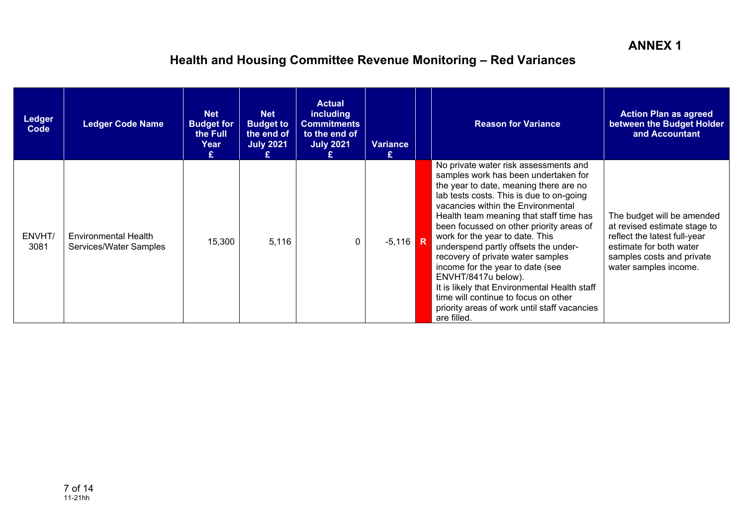| <b>Ledger</b><br>Code | <b>Ledger Code Name</b>                        | <b>Net</b><br><b>Budget for</b><br>the Full<br>Year<br>£ | <b>Net</b><br><b>Budget to</b><br>the end of<br><b>July 2021</b> | <b>Actual</b><br><b>including</b><br><b>Commitments</b><br>to the end of<br><b>July 2021</b> | <b>Variance</b><br>£ | <b>Reason for Variance</b>                                                                                                                                                                                                                                                                                                                                                                                                                                                                                                                                                                                                         | <b>Action Plan as agreed</b><br>between the Budget Holder<br>and Accountant                                                                                                 |
|-----------------------|------------------------------------------------|----------------------------------------------------------|------------------------------------------------------------------|----------------------------------------------------------------------------------------------|----------------------|------------------------------------------------------------------------------------------------------------------------------------------------------------------------------------------------------------------------------------------------------------------------------------------------------------------------------------------------------------------------------------------------------------------------------------------------------------------------------------------------------------------------------------------------------------------------------------------------------------------------------------|-----------------------------------------------------------------------------------------------------------------------------------------------------------------------------|
| ENVHT/<br>3081        | Environmental Health<br>Services/Water Samples | 15,300                                                   | 5,116                                                            | $\mathbf{0}$                                                                                 | $-5,116$ R           | No private water risk assessments and<br>samples work has been undertaken for<br>the year to date, meaning there are no<br>lab tests costs. This is due to on-going<br>vacancies within the Environmental<br>Health team meaning that staff time has<br>been focussed on other priority areas of<br>work for the year to date. This<br>underspend partly offsets the under-<br>recovery of private water samples<br>income for the year to date (see<br>ENVHT/8417u below).<br>It is likely that Environmental Health staff<br>time will continue to focus on other<br>priority areas of work until staff vacancies<br>are filled. | The budget will be amended<br>at revised estimate stage to<br>reflect the latest full-year<br>estimate for both water<br>samples costs and private<br>water samples income. |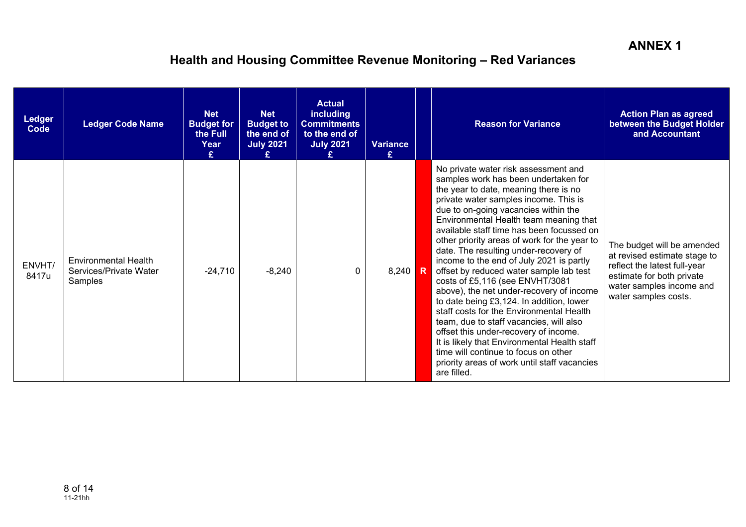| <b>Ledger</b><br>Code | <b>Ledger Code Name</b>                                          | <b>Net</b><br><b>Budget for</b><br>the Full<br>Year<br>£ | <b>Net</b><br><b>Budget to</b><br>the end of<br><b>July 2021</b> | <b>Actual</b><br><b>including</b><br><b>Commitments</b><br>to the end of<br><b>July 2021</b> | <b>Variance</b><br>£ | <b>Reason for Variance</b>                                                                                                                                                                                                                                                                                                                                                                                                                                                                                                                                                                                                                                                                                                                                                                                                                                                                      | <b>Action Plan as agreed</b><br>between the Budget Holder<br>and Accountant                                                                                                 |
|-----------------------|------------------------------------------------------------------|----------------------------------------------------------|------------------------------------------------------------------|----------------------------------------------------------------------------------------------|----------------------|-------------------------------------------------------------------------------------------------------------------------------------------------------------------------------------------------------------------------------------------------------------------------------------------------------------------------------------------------------------------------------------------------------------------------------------------------------------------------------------------------------------------------------------------------------------------------------------------------------------------------------------------------------------------------------------------------------------------------------------------------------------------------------------------------------------------------------------------------------------------------------------------------|-----------------------------------------------------------------------------------------------------------------------------------------------------------------------------|
| ENVHT/<br>8417u       | <b>Environmental Health</b><br>Services/Private Water<br>Samples | $-24,710$                                                | $-8,240$                                                         | $\Omega$                                                                                     | $8,240$ R            | No private water risk assessment and<br>samples work has been undertaken for<br>the year to date, meaning there is no<br>private water samples income. This is<br>due to on-going vacancies within the<br>Environmental Health team meaning that<br>available staff time has been focussed on<br>other priority areas of work for the year to<br>date. The resulting under-recovery of<br>income to the end of July 2021 is partly<br>offset by reduced water sample lab test<br>costs of £5,116 (see ENVHT/3081<br>above), the net under-recovery of income<br>to date being £3,124. In addition, lower<br>staff costs for the Environmental Health<br>team, due to staff vacancies, will also<br>offset this under-recovery of income.<br>It is likely that Environmental Health staff<br>time will continue to focus on other<br>priority areas of work until staff vacancies<br>are filled. | The budget will be amended<br>at revised estimate stage to<br>reflect the latest full-year<br>estimate for both private<br>water samples income and<br>water samples costs. |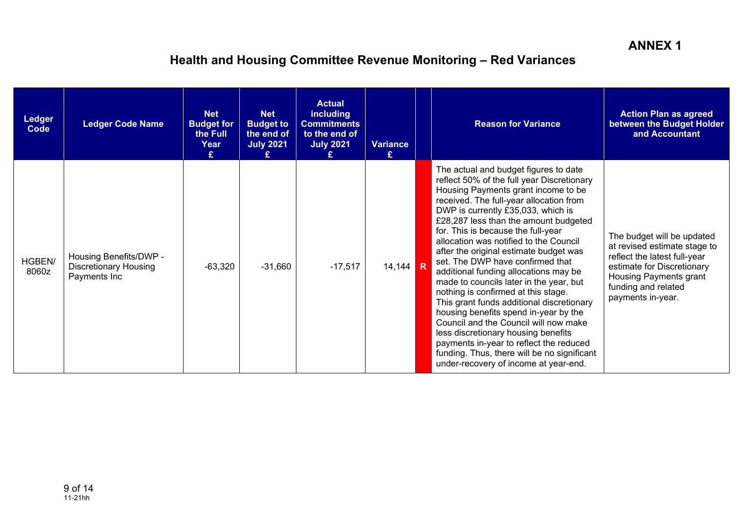| <b>Ledger</b><br>Code | <b>Ledger Code Name</b>                                                | <b>Net</b><br><b>Budget for</b><br>the Full<br>Year<br>£ | <b>Net</b><br><b>Budget to</b><br>the end of<br><b>July 2021</b> | <b>Actual</b><br><b>including</b><br><b>Commitments</b><br>to the end of<br><b>July 2021</b> | <b>Variance</b><br>£ | <b>Reason for Variance</b>                                                                                                                                                                                                                                                                                                                                                                                                                                                                                                                                                                                                                                                                                                                                                                                                                             | <b>Action Plan as agreed</b><br>between the Budget Holder<br>and Accountant                                                                                                                    |
|-----------------------|------------------------------------------------------------------------|----------------------------------------------------------|------------------------------------------------------------------|----------------------------------------------------------------------------------------------|----------------------|--------------------------------------------------------------------------------------------------------------------------------------------------------------------------------------------------------------------------------------------------------------------------------------------------------------------------------------------------------------------------------------------------------------------------------------------------------------------------------------------------------------------------------------------------------------------------------------------------------------------------------------------------------------------------------------------------------------------------------------------------------------------------------------------------------------------------------------------------------|------------------------------------------------------------------------------------------------------------------------------------------------------------------------------------------------|
| HGBEN/<br>8060z       | Housing Benefits/DWP -<br><b>Discretionary Housing</b><br>Payments Inc | $-63,320$                                                | $-31,660$                                                        | $-17,517$                                                                                    | 14,144 R             | The actual and budget figures to date<br>reflect 50% of the full year Discretionary<br>Housing Payments grant income to be<br>received. The full-year allocation from<br>DWP is currently £35,033, which is<br>£28,287 less than the amount budgeted<br>for. This is because the full-year<br>allocation was notified to the Council<br>after the original estimate budget was<br>set. The DWP have confirmed that<br>additional funding allocations may be<br>made to councils later in the year, but<br>nothing is confirmed at this stage.<br>This grant funds additional discretionary<br>housing benefits spend in-year by the<br>Council and the Council will now make<br>less discretionary housing benefits<br>payments in-year to reflect the reduced<br>funding. Thus, there will be no significant<br>under-recovery of income at year-end. | The budget will be updated<br>at revised estimate stage to<br>reflect the latest full-year<br>estimate for Discretionary<br>Housing Payments grant<br>funding and related<br>payments in-year. |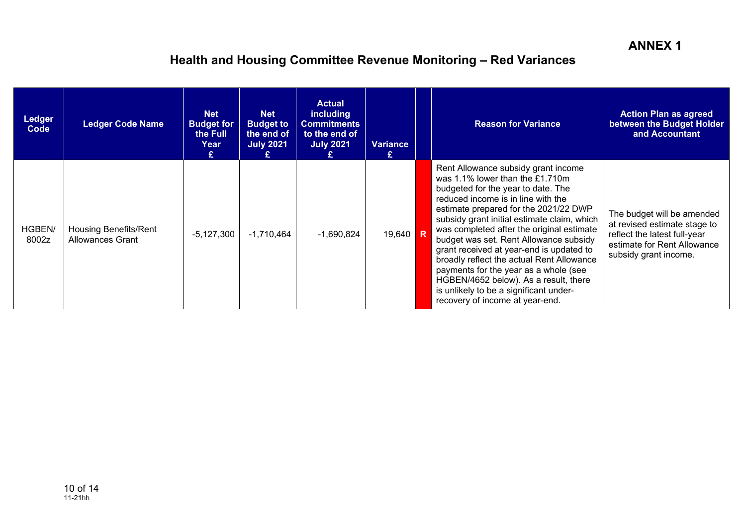| <b>Ledger</b><br>Code | <b>Ledger Code Name</b>                                 | <b>Net</b><br><b>Budget for</b><br>the Full<br>Year<br>£. | <b>Net</b><br><b>Budget to</b><br>the end of<br><b>July 2021</b> | <b>Actual</b><br><b>including</b><br><b>Commitments</b><br>to the end of<br><b>July 2021</b> | <b>Variance</b> | <b>Reason for Variance</b>                                                                                                                                                                                                                                                                                                                                                                                                                                                                                                                                                                | <b>Action Plan as agreed</b><br>between the Budget Holder<br>and Accountant                                                                        |
|-----------------------|---------------------------------------------------------|-----------------------------------------------------------|------------------------------------------------------------------|----------------------------------------------------------------------------------------------|-----------------|-------------------------------------------------------------------------------------------------------------------------------------------------------------------------------------------------------------------------------------------------------------------------------------------------------------------------------------------------------------------------------------------------------------------------------------------------------------------------------------------------------------------------------------------------------------------------------------------|----------------------------------------------------------------------------------------------------------------------------------------------------|
| HGBEN/<br>8002z       | <b>Housing Benefits/Rent</b><br><b>Allowances Grant</b> | $-5,127,300$                                              | $-1,710,464$                                                     | $-1,690,824$                                                                                 | 19,640 R        | Rent Allowance subsidy grant income<br>was 1.1% lower than the £1.710m<br>budgeted for the year to date. The<br>reduced income is in line with the<br>estimate prepared for the 2021/22 DWP<br>subsidy grant initial estimate claim, which<br>was completed after the original estimate<br>budget was set. Rent Allowance subsidy<br>grant received at year-end is updated to<br>broadly reflect the actual Rent Allowance<br>payments for the year as a whole (see<br>HGBEN/4652 below). As a result, there<br>is unlikely to be a significant under-<br>recovery of income at year-end. | The budget will be amended<br>at revised estimate stage to<br>reflect the latest full-year<br>estimate for Rent Allowance<br>subsidy grant income. |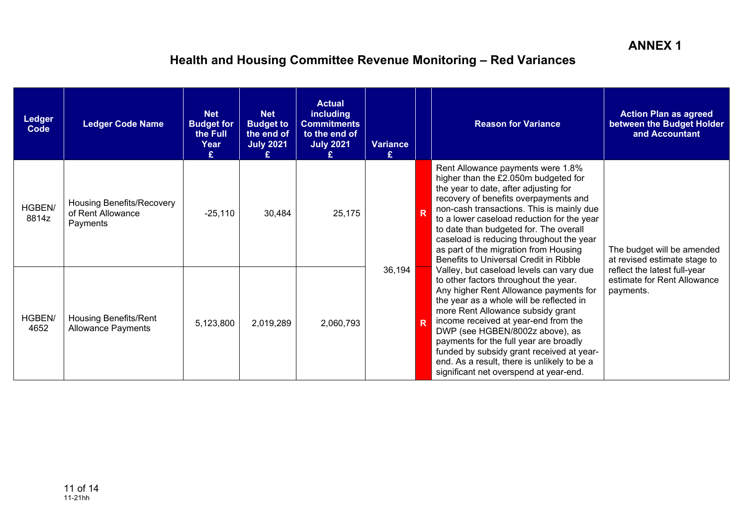| <b>Ledger</b><br>Code | <b>Ledger Code Name</b>                                    | <b>Net</b><br><b>Budget for</b><br>the Full<br>Year | <b>Net</b><br><b>Budget to</b><br>the end of<br><b>July 2021</b> | <b>Actual</b><br><b>including</b><br><b>Commitments</b><br>to the end of<br><b>July 2021</b> | Variance<br>£ |   | <b>Reason for Variance</b>                                                                                                                                                                                                                                                                                                                                                                                                                                              | <b>Action Plan as agreed</b><br>between the Budget Holder<br>and Accountant |
|-----------------------|------------------------------------------------------------|-----------------------------------------------------|------------------------------------------------------------------|----------------------------------------------------------------------------------------------|---------------|---|-------------------------------------------------------------------------------------------------------------------------------------------------------------------------------------------------------------------------------------------------------------------------------------------------------------------------------------------------------------------------------------------------------------------------------------------------------------------------|-----------------------------------------------------------------------------|
| HGBEN/<br>8814z       | Housing Benefits/Recovery<br>of Rent Allowance<br>Payments | $-25,110$                                           | 30,484                                                           | 25,175                                                                                       |               | R | Rent Allowance payments were 1.8%<br>higher than the £2.050m budgeted for<br>the year to date, after adjusting for<br>recovery of benefits overpayments and<br>non-cash transactions. This is mainly due<br>to a lower caseload reduction for the year<br>to date than budgeted for. The overall<br>caseload is reducing throughout the year<br>as part of the migration from Housing<br>Benefits to Universal Credit in Ribble                                         | The budget will be amended<br>at revised estimate stage to                  |
| HGBEN/<br>4652        | <b>Housing Benefits/Rent</b><br><b>Allowance Payments</b>  | 5,123,800                                           | 2,019,289                                                        | 2,060,793                                                                                    | 36,194        | R | Valley, but caseload levels can vary due<br>to other factors throughout the year.<br>Any higher Rent Allowance payments for<br>the year as a whole will be reflected in<br>more Rent Allowance subsidy grant<br>income received at year-end from the<br>DWP (see HGBEN/8002z above), as<br>payments for the full year are broadly<br>funded by subsidy grant received at year-<br>end. As a result, there is unlikely to be a<br>significant net overspend at year-end. | reflect the latest full-year<br>estimate for Rent Allowance<br>payments.    |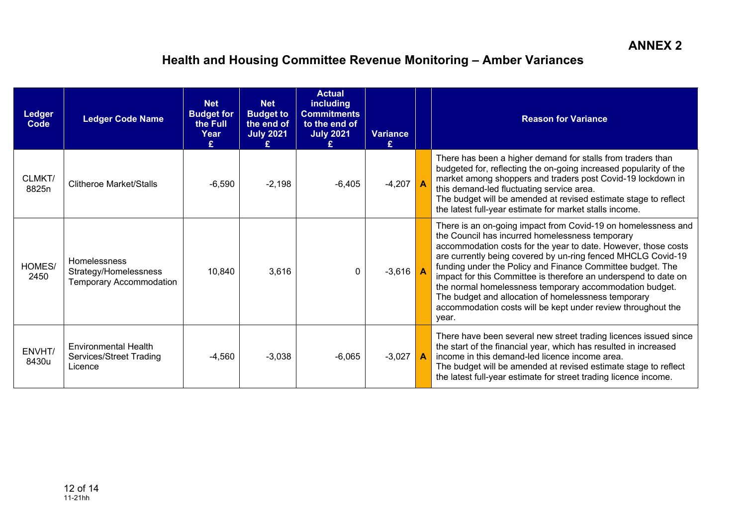| <b>Ledger</b><br>Code | <b>Ledger Code Name</b>                                                 | <b>Net</b><br><b>Budget for</b><br>the Full<br>Year<br>£ | <b>Net</b><br><b>Budget to</b><br>the end of<br><b>July 2021</b> | <b>Actual</b><br><b>including</b><br><b>Commitments</b><br>to the end of<br><b>July 2021</b> | <b>Variance</b><br>£. | <b>Reason for Variance</b>                                                                                                                                                                                                                                                                                                                                                                                                                                                                                                                                                     |
|-----------------------|-------------------------------------------------------------------------|----------------------------------------------------------|------------------------------------------------------------------|----------------------------------------------------------------------------------------------|-----------------------|--------------------------------------------------------------------------------------------------------------------------------------------------------------------------------------------------------------------------------------------------------------------------------------------------------------------------------------------------------------------------------------------------------------------------------------------------------------------------------------------------------------------------------------------------------------------------------|
| CLMKT/<br>8825n       | Clitheroe Market/Stalls                                                 | $-6,590$                                                 | $-2,198$                                                         | $-6,405$                                                                                     | $-4,207$              | There has been a higher demand for stalls from traders than<br>budgeted for, reflecting the on-going increased popularity of the<br>market among shoppers and traders post Covid-19 lockdown in<br>this demand-led fluctuating service area.<br>The budget will be amended at revised estimate stage to reflect<br>the latest full-year estimate for market stalls income.                                                                                                                                                                                                     |
| HOMES/<br>2450        | Homelessness<br>Strategy/Homelessness<br><b>Temporary Accommodation</b> | 10,840                                                   | 3,616                                                            | $\Omega$                                                                                     | $-3,616$              | There is an on-going impact from Covid-19 on homelessness and<br>the Council has incurred homelessness temporary<br>accommodation costs for the year to date. However, those costs<br>are currently being covered by un-ring fenced MHCLG Covid-19<br>funding under the Policy and Finance Committee budget. The<br>impact for this Committee is therefore an underspend to date on<br>the normal homelessness temporary accommodation budget.<br>The budget and allocation of homelessness temporary<br>accommodation costs will be kept under review throughout the<br>year. |
| ENVHT/<br>8430u       | <b>Environmental Health</b><br>Services/Street Trading<br>Licence       | $-4,560$                                                 | $-3,038$                                                         | $-6,065$                                                                                     | $-3,027$              | There have been several new street trading licences issued since<br>the start of the financial year, which has resulted in increased<br>income in this demand-led licence income area.<br>The budget will be amended at revised estimate stage to reflect<br>the latest full-year estimate for street trading licence income.                                                                                                                                                                                                                                                  |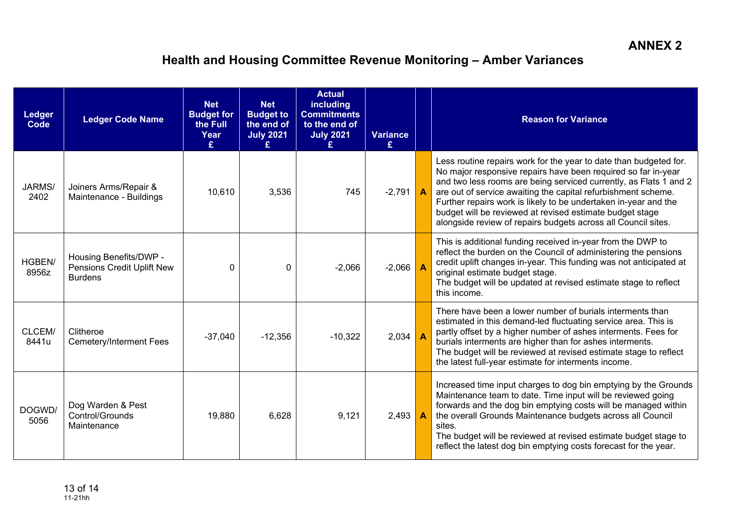| <b>Ledger</b><br>Code | <b>Ledger Code Name</b>                                                | <b>Net</b><br><b>Budget for</b><br>the Full<br>Year<br>£ | <b>Net</b><br><b>Budget to</b><br>the end of<br><b>July 2021</b> | <b>Actual</b><br><b>including</b><br><b>Commitments</b><br>to the end of<br><b>July 2021</b> | <b>Variance</b><br>£ | <b>Reason for Variance</b>                                                                                                                                                                                                                                                                                                                                                                                                                                               |
|-----------------------|------------------------------------------------------------------------|----------------------------------------------------------|------------------------------------------------------------------|----------------------------------------------------------------------------------------------|----------------------|--------------------------------------------------------------------------------------------------------------------------------------------------------------------------------------------------------------------------------------------------------------------------------------------------------------------------------------------------------------------------------------------------------------------------------------------------------------------------|
| JARMS/<br>2402        | Joiners Arms/Repair &<br>Maintenance - Buildings                       | 10,610                                                   | 3,536                                                            | 745                                                                                          | $-2,791$ $A$         | Less routine repairs work for the year to date than budgeted for.<br>No major responsive repairs have been required so far in-year<br>and two less rooms are being serviced currently, as Flats 1 and 2<br>are out of service awaiting the capital refurbishment scheme.<br>Further repairs work is likely to be undertaken in-year and the<br>budget will be reviewed at revised estimate budget stage<br>alongside review of repairs budgets across all Council sites. |
| HGBEN/<br>8956z       | Housing Benefits/DWP -<br>Pensions Credit Uplift New<br><b>Burdens</b> | $\Omega$                                                 | $\Omega$                                                         | $-2,066$                                                                                     | $-2,066$             | This is additional funding received in-year from the DWP to<br>reflect the burden on the Council of administering the pensions<br>credit uplift changes in-year. This funding was not anticipated at<br>original estimate budget stage.<br>The budget will be updated at revised estimate stage to reflect<br>this income.                                                                                                                                               |
| CLCEM/<br>8441u       | Clitheroe<br><b>Cemetery/Interment Fees</b>                            | $-37,040$                                                | $-12,356$                                                        | $-10,322$                                                                                    | 2,034                | There have been a lower number of burials interments than<br>estimated in this demand-led fluctuating service area. This is<br>partly offset by a higher number of ashes interments. Fees for<br>burials interments are higher than for ashes interments.<br>The budget will be reviewed at revised estimate stage to reflect<br>the latest full-year estimate for interments income.                                                                                    |
| DOGWD/<br>5056        | Dog Warden & Pest<br>Control/Grounds<br>Maintenance                    | 19,880                                                   | 6,628                                                            | 9,121                                                                                        | 2,493                | Increased time input charges to dog bin emptying by the Grounds<br>Maintenance team to date. Time input will be reviewed going<br>forwards and the dog bin emptying costs will be managed within<br>the overall Grounds Maintenance budgets across all Council<br>sites.<br>The budget will be reviewed at revised estimate budget stage to<br>reflect the latest dog bin emptying costs forecast for the year.                                                          |